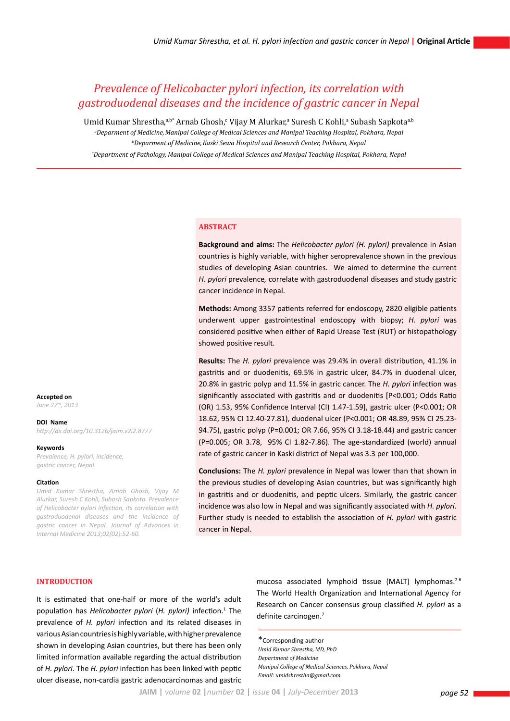# *Prevalence of Helicobacter pylori infection, its correlation with gastroduodenal diseases and the incidence of gastric cancer in Nepal*

Umid Kumar Shrestha,ªb\* Arnab Ghosh,¢ Vijay M Alurkar,ª Suresh C Kohli,ª Subash Sapkotaª<sup>,</sup>

*a Deparment of Medicine,Manipal College of Medical Sciences and Manipal Teaching Hospital, Pokhara, Nepal b Deparment of Medicine,Kaski Sewa Hospital and Research Center, Pokhara, Nepal c Department of Pathology, Manipal College of Medical Sciences and Manipal Teaching Hospital, Pokhara, Nepal* 

### **ABSTRACT**

**Background and aims:** The *Helicobacter pylori (H. pylori)* prevalence in Asian countries is highly variable, with higher seroprevalence shown in the previous studies of developing Asian countries. We aimed to determine the current *H. pylori* prevalence*,* correlate with gastroduodenal diseases and study gastric cancer incidence in Nepal.

**Methods:** Among 3357 patients referred for endoscopy, 2820 eligible patients underwent upper gastrointestinal endoscopy with biopsy; *H. pylori* was considered positive when either of Rapid Urease Test (RUT) or histopathology showed positive result.

**Results:** The *H. pylori* prevalence was 29.4% in overall distribution, 41.1% in gastritis and or duodenitis, 69.5% in gastric ulcer, 84.7% in duodenal ulcer, 20.8% in gastric polyp and 11.5% in gastric cancer. The *H. pylori* infection was significantly associated with gastritis and or duodenitis [P<0.001; Odds Ratio (OR) 1.53, 95% Confidence Interval (CI) 1.47-1.59], gastric ulcer (P<0.001; OR 18.62, 95% CI 12.40-27.81), duodenal ulcer (P<0.001; OR 48.89, 95% CI 25.23- 94.75), gastric polyp (P=0.001; OR 7.66, 95% CI 3.18-18.44) and gastric cancer (P=0.005; OR 3.78, 95% CI 1.82-7.86). The age-standardized (world) annual rate of gastric cancer in Kaski district of Nepal was 3.3 per 100,000.

**Conclusions:** The *H. pylori* prevalence in Nepal was lower than that shown in the previous studies of developing Asian countries, but was significantly high in gastritis and or duodenitis, and peptic ulcers. Similarly, the gastric cancer incidence was also low in Nepal and was significantly associated with *H. pylori*. Further study is needed to establish the association of *H. pylori* with gastric cancer in Nepal.

**Accepted on** *June 27th, 2013*

**DOI Name**

*http://dx.doi.org/10.3126/jaim.v2i2.8777*

#### **Keywords**

*Prevalence, H. pylori, incidence, gastric cancer, Nepal*

### **Citation**

*Umid Kumar Shrestha, Arnab Ghosh, Vijay M Alurkar, Suresh C Kohli, Subash Sapkota. Prevalence of Helicobacter pylori infection, its correlation with gastroduodenal diseases and the incidence of gastric cancer in Nepal. Journal of Advances in Internal Medicine 2013;02(02):52-60.*

### **INTRODUCTION**

It is estimated that one-half or more of the world's adult population has *Helicobacter pylori* (H. pylori) infection.<sup>1</sup> The prevalence of *H. pylori* infection and its related diseases in various Asian countries is highly variable, with higher prevalence shown in developing Asian countries, but there has been only limited information available regarding the actual distribution of *H. pylori*. The *H. pylori* infection has been linked with peptic ulcer disease, non-cardia gastric adenocarcinomas and gastric

mucosa associated lymphoid tissue (MALT) lymphomas. $2-6$ The World Health Organization and International Agency for Research on Cancer consensus group classified *H. pylori* as a definite carcinogen.7

\*Corresponding author *Umid Kumar Shrestha, MD, PhD Department of Medicine Manipal College of Medical Sciences, Pokhara, Nepal Email: umidshrestha@gmail.com*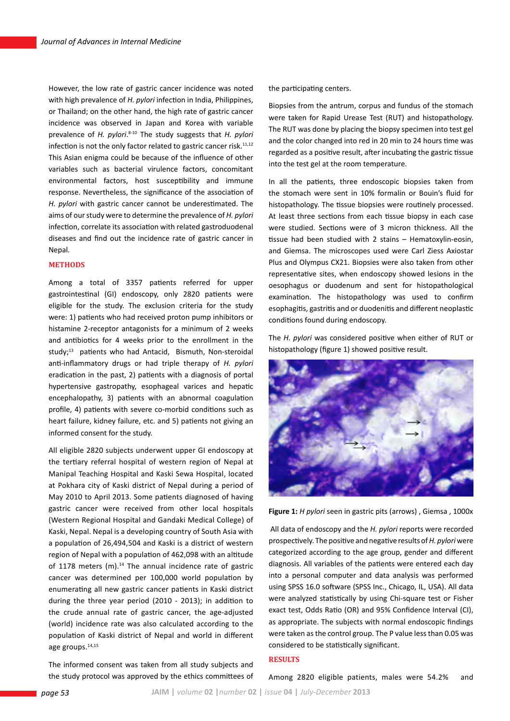However, the low rate of gastric cancer incidence was noted with high prevalence of *H. pylori* infection in India, Philippines, or Thailand; on the other hand, the high rate of gastric cancer incidence was observed in Japan and Korea with variable prevalence of *H. pylori*. 8-10 The study suggests that *H. pylori*  infection is not the only factor related to gastric cancer risk.<sup>11,12</sup> This Asian enigma could be because of the influence of other variables such as bacterial virulence factors, concomitant environmental factors, host susceptibility and immune response. Nevertheless, the significance of the association of *H. pylori* with gastric cancer cannot be underestimated. The aims of our study were to determine the prevalence of *H. pylori* infection, correlate its association with related gastroduodenal diseases and find out the incidence rate of gastric cancer in Nepal.

### **METHODS**

Among a total of 3357 patients referred for upper gastrointestinal (GI) endoscopy, only 2820 patients were eligible for the study. The exclusion criteria for the study were: 1) patients who had received proton pump inhibitors or histamine 2-receptor antagonists for a minimum of 2 weeks and antibiotics for 4 weeks prior to the enrollment in the study;<sup>13</sup> patients who had Antacid, Bismuth, Non-steroidal anti-inflammatory drugs or had triple therapy of *H. pylori* eradication in the past, 2) patients with a diagnosis of portal hypertensive gastropathy, esophageal varices and hepatic encephalopathy, 3) patients with an abnormal coagulation profile, 4) patients with severe co-morbid conditions such as heart failure, kidney failure, etc. and 5) patients not giving an informed consent for the study.

All eligible 2820 subjects underwent upper GI endoscopy at the tertiary referral hospital of western region of Nepal at Manipal Teaching Hospital and Kaski Sewa Hospital, located at Pokhara city of Kaski district of Nepal during a period of May 2010 to April 2013. Some patients diagnosed of having gastric cancer were received from other local hospitals (Western Regional Hospital and Gandaki Medical College) of Kaski, Nepal. Nepal is a developing country of South Asia with a population of 26,494,504 and Kaski is a district of western region of Nepal with a population of 462,098 with an altitude of 1178 meters  $(m)$ .<sup>14</sup> The annual incidence rate of gastric cancer was determined per 100,000 world population by enumerating all new gastric cancer patients in Kaski district during the three year period (2010 - 2013); in addition to the crude annual rate of gastric cancer, the age-adjusted (world) incidence rate was also calculated according to the population of Kaski district of Nepal and world in different age groups.<sup>14,15</sup>

The informed consent was taken from all study subjects and the study protocol was approved by the ethics committees of the participating centers.

Biopsies from the antrum, corpus and fundus of the stomach were taken for Rapid Urease Test (RUT) and histopathology. The RUT was done by placing the biopsy specimen into test gel and the color changed into red in 20 min to 24 hours time was regarded as a positive result, after incubating the gastric tissue into the test gel at the room temperature.

In all the patients, three endoscopic biopsies taken from the stomach were sent in 10% formalin or Bouin's fluid for histopathology. The tissue biopsies were routinely processed. At least three sections from each tissue biopsy in each case were studied. Sections were of 3 micron thickness. All the tissue had been studied with 2 stains – Hematoxylin-eosin, and Giemsa. The microscopes used were Carl Ziess Axiostar Plus and Olympus CX21. Biopsies were also taken from other representative sites, when endoscopy showed lesions in the oesophagus or duodenum and sent for histopathological examination. The histopathology was used to confirm esophagitis, gastritis and or duodenitis and different neoplastic conditions found during endoscopy.

The *H. pylori* was considered positive when either of RUT or histopathology (figure 1) showed positive result.



**Figure 1:** *H pylori* seen in gastric pits (arrows) , Giemsa , 1000x

 All data of endoscopy and the *H. pylori* reports were recorded prospectively. The positive and negative results of *H. pylori* were categorized according to the age group, gender and different diagnosis. All variables of the patients were entered each day into a personal computer and data analysis was performed using SPSS 16.0 software (SPSS Inc., Chicago, IL, USA). All data were analyzed statistically by using Chi-square test or Fisher exact test, Odds Ratio (OR) and 95% Confidence Interval (CI), as appropriate. The subjects with normal endoscopic findings were taken as the control group. The P value less than 0.05 was considered to be statistically significant.

### **RESULTS**

Among 2820 eligible patients, males were 54.2% and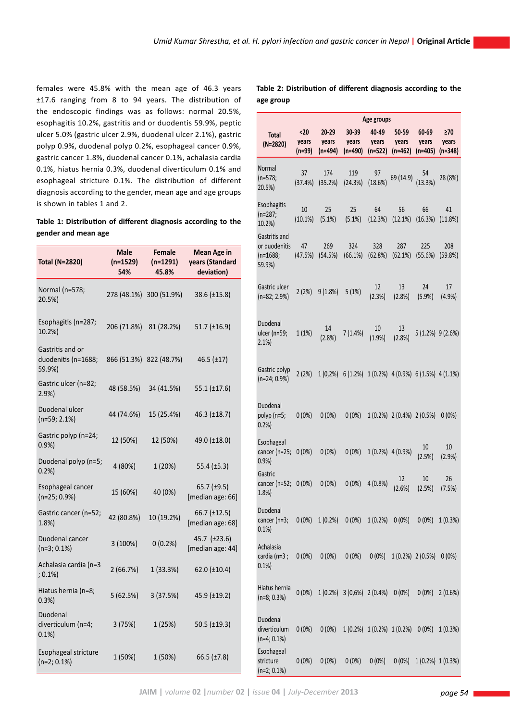females were 45.8% with the mean age of 46.3 years ±17.6 ranging from 8 to 94 years. The distribution of the endoscopic findings was as follows: normal 20.5%, esophagitis 10.2%, gastritis and or duodentis 59.9%, peptic ulcer 5.0% (gastric ulcer 2.9%, duodenal ulcer 2.1%), gastric polyp 0.9%, duodenal polyp 0.2%, esophageal cancer 0.9%, gastric cancer 1.8%, duodenal cancer 0.1%, achalasia cardia 0.1%, hiatus hernia 0.3%, duodenal diverticulum 0.1% and esophageal stricture 0.1%. The distribution of different diagnosis according to the gender, mean age and age groups is shown in tables 1 and 2.

# **Table 1: Distribution of different diagnosis according to the gender and mean age**

| <b>Total (N=2820)</b>                             | <b>Male</b><br>$(n=1529)$<br>54% | <b>Female</b><br>$(n=1291)$<br>45.8% | <b>Mean Age in</b><br>years (Standard<br>deviation) | or duodenit<br>$(n=1688;$<br>59.9%)       |
|---------------------------------------------------|----------------------------------|--------------------------------------|-----------------------------------------------------|-------------------------------------------|
| Normal (n=578;<br>20.5%)                          |                                  | 278 (48.1%) 300 (51.9%)              | 38.6 (±15.8)                                        | Gastric ulce<br>(n=82; 2.9%               |
| Esophagitis (n=287;<br>10.2%)                     | 206 (71.8%)                      | 81 (28.2%)                           | 51.7 $(\pm 16.9)$                                   | Duodenal<br>ulcer (n=59;<br>$2.1\%$       |
| Gastritis and or<br>duodenitis (n=1688;<br>59.9%) |                                  | 866 (51.3%) 822 (48.7%)              | $46.5$ ( $\pm$ 17)                                  | Gastric poly                              |
| Gastric ulcer (n=82;<br>2.9%                      | 48 (58.5%)                       | 34 (41.5%)                           | 55.1 $(\pm 17.6)$                                   | (n=24; 0.9%                               |
| Duodenal ulcer<br>$(n=59; 2.1%)$                  | 44 (74.6%)                       | 15 (25.4%)                           | 46.3 (±18.7)                                        | Duodenal<br>polyp (n=5;<br>0.2%           |
| Gastric polyp (n=24;<br>0.9%                      | 12 (50%)                         | 12 (50%)                             | 49.0 (±18.0)                                        | Esophageal<br>cancer (n=2                 |
| Duodenal polyp (n=5;<br>0.2%                      | 4 (80%)                          | 1 (20%)                              | 55.4 $(\pm 5.3)$                                    | 0.9%<br>Gastric                           |
| Esophageal cancer<br>$(n=25; 0.9%)$               | 15 (60%)                         | 40 (0%)                              | 65.7 $(\pm 9.5)$<br>[median age: 66]                | cancer (n=5<br>1.8%                       |
| Gastric cancer (n=52;<br>1.8%                     | 42 (80.8%)                       | 10 (19.2%)                           | 66.7 (±12.5)<br>[median age: 68]                    | Duodenal<br>cancer (n=3<br>0.1%           |
| Duodenal cancer<br>$(n=3; 0.1%)$                  | 3 (100%)                         | 0(0.2%)                              | 45.7 (±23.6)<br>[median age: 44]                    | Achalasia<br>cardia (n=3                  |
| Achalasia cardia (n=3<br>$(0.1\%)$                | 2(66.7%)                         | 1 (33.3%)                            | $62.0$ (±10.4)                                      | 0.1%                                      |
| Hiatus hernia (n=8;<br>0.3%                       | 5(62.5%)                         | 3(37.5%)                             | 45.9 (±19.2)                                        | Hiatus hern<br>$(n=8; 0.3%)$              |
| Duodenal<br>diverticulum (n=4;<br>0.1%            | 3(75%)                           | 1(25%)                               | 50.5 $(\pm 19.3)$                                   | Duodenal<br>diverticulun<br>$(n=4; 0.1%)$ |
| Esophageal stricture<br>$(n=2; 0.1%)$             | 1 (50%)                          | 1 (50%)                              | 66.5 $(\pm 7.8)$                                    | Esophageal<br>stricture<br>$(n=2; 0.1\%)$ |

**Table 2: Distribution of different diagnosis according to the age group**

|                                                                                         | Age groups             |                           |                                                        |                           |                                 |                             |                                  |
|-----------------------------------------------------------------------------------------|------------------------|---------------------------|--------------------------------------------------------|---------------------------|---------------------------------|-----------------------------|----------------------------------|
| <b>Total</b><br>$(N=2820)$                                                              | <20<br>years<br>(n=99) | 20-29<br>years<br>(n=494) | 30-39<br>years<br>(n=490)                              | 40-49<br>years<br>(n=522) | 50-59<br>years<br>$(n=462)$     | 60-69<br>years<br>$(n=405)$ | $\geq 70$<br>years<br>$(n=348)$  |
| Normal<br>$(n=578;$<br>20.5%)                                                           | 37<br>(37.4%)          | 174<br>(35.2%)            | 119<br>(24.3%)                                         | 97<br>(18.6%)             | 69 (14.9)                       | 54<br>(13.3%)               | 28 (8%)                          |
| Esophagitis<br>$(n=287;$<br>10.2%                                                       | 10<br>(10.1%)          | 25<br>(5.1%)              | 25<br>(5.1%)                                           | 64<br>(12.3%)             | 56<br>(12.1%)                   | 66<br>(16.3%)               | 41<br>(11.8%)                    |
| Gastritis and<br>or duodenitis<br>$(n=1688;$<br>59.9%)                                  | 47<br>(47.5%)          | 269<br>(54.5%)            | 324<br>(66.1%)                                         | 328<br>(62.8%)            | 287<br>(62.1%)                  | 225<br>(55.6%)              | 208<br>(59.8%)                   |
| Gastric ulcer<br>$(n=82; 2.9%)$                                                         | 2(2%)                  | 9(1.8%)                   | 5(1%)                                                  | 12<br>(2.3%)              | 13<br>(2.8%)                    | 24<br>(5.9%)                | 17<br>(4.9%)                     |
| Duodenal<br>ulcer (n=59;<br>2.1%                                                        | 1(1%)                  | 14<br>(2.8%)              | 7(1.4%)                                                | 10<br>(1.9%)              | 13<br>(2.8%)                    |                             | 5 (1.2%) 9 (2.6%)                |
| Gastric polyp<br>$(n=24; 0.9%)$                                                         | 2(2%)                  |                           | $1(0,2%)$ 6(1.2%) $1(0.2%)$ 4(0.9%) 6(1.5%) 4(1.1%)    |                           |                                 |                             |                                  |
| Duodenal<br>polyp (n=5;<br>0.2%                                                         | $0(0\%)$               | $0(0\%)$                  | $0(0\%)$                                               |                           | $1(0.2%)$ 2 $(0.4%)$ 2 $(0.5%)$ |                             | $0(0\%)$                         |
| Esophageal<br>cancer (n=25;<br>0.9%                                                     | $0(0\%)$               | $0(0\%)$                  | $0(0\%)$                                               |                           | 1 (0.2%) 4 (0.9%)               | 10<br>(2.5%)                | 10<br>(2.9%)                     |
| Gastric<br>cancer (n=52; 0 (0%)<br>1.8%                                                 |                        | $0(0\%)$                  | $0(0\%)$                                               | 4(0.8%                    | 12<br>(2.6%)                    | 10<br>(2.5%)                | 26<br>(7.5%)                     |
| Duodenal<br>cancer (n=3; 0 (0%) 1 (0.2%) 0 (0%) 1 (0.2%) 0 (0%) 0 (0%) 1 (0.3%)<br>0.1% |                        |                           |                                                        |                           |                                 |                             |                                  |
| Achalasia<br>cardia (n=3;<br>0.1%                                                       | $0(0\%)$               |                           | $0(0\%)$ $0(0\%)$                                      | $0(0\%)$                  |                                 | 1 (0.2%) 2 (0.5%) 0 (0%)    |                                  |
| Hiatus hernia<br>$(n=8; 0.3%)$                                                          | 0(0%)                  |                           | $1(0.2%)$ $3(0.6%)$ $2(0.4%)$ $0(0%)$                  |                           |                                 |                             | $0(0\%)$ 2 (0.6%)                |
| Duodenal<br>diverticulum<br>$(n=4; 0.1%)$                                               | $0(0\%)$               |                           | $0(0\%)$ 1 $(0.2\%)$ 1 $(0.2\%)$ 1 $(0.2\%)$ 0 $(0\%)$ |                           |                                 |                             | 1(0.3%)                          |
| Esophageal<br>stricture                                                                 | $0(0\%)$               |                           | $0(0\%)$ $0(0\%)$                                      | $0(0\%)$                  |                                 |                             | $0(0\%)$ 1 $(0.2\%)$ 1 $(0.3\%)$ |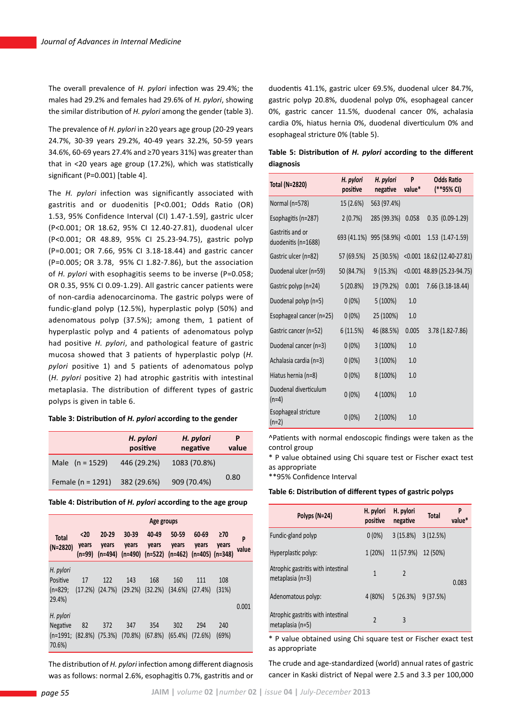The overall prevalence of *H. pylori* infection was 29.4%; the males had 29.2% and females had 29.6% of *H. pylori*, showing the similar distribution of *H. pylori* among the gender (table 3).

The prevalence of *H. pylori* in ≥20 years age group (20-29 years 24.7%, 30-39 years 29.2%, 40-49 years 32.2%, 50-59 years 34.6%, 60-69 years 27.4% and ≥70 years 31%) was greater than that in <20 years age group (17.2%), which was statistically significant (P=0.001) [table 4].

The *H. pylori* infection was significantly associated with gastritis and or duodenitis [P<0.001; Odds Ratio (OR) 1.53, 95% Confidence Interval (CI) 1.47-1.59], gastric ulcer (P<0.001; OR 18.62, 95% CI 12.40-27.81), duodenal ulcer (P<0.001; OR 48.89, 95% CI 25.23-94.75), gastric polyp (P=0.001; OR 7.66, 95% CI 3.18-18.44) and gastric cancer (P=0.005; OR 3.78, 95% CI 1.82-7.86), but the association of *H. pylori* with esophagitis seems to be inverse (P=0.058; OR 0.35, 95% CI 0.09-1.29). All gastric cancer patients were of non-cardia adenocarcinoma. The gastric polyps were of fundic-gland polyp (12.5%), hyperplastic polyp (50%) and adenomatous polyp (37.5%); among them, 1 patient of hyperplastic polyp and 4 patients of adenomatous polyp had positive *H. pylori*, and pathological feature of gastric mucosa showed that 3 patients of hyperplastic polyp (*H. pylori* positive 1) and 5 patients of adenomatous polyp (*H. pylori* positive 2) had atrophic gastritis with intestinal metaplasia. The distribution of different types of gastric polyps is given in table 6.

## **Table 3: Distribution of** *H. pylori* **according to the gender**

|                       | H. pylori<br>positive | H. pylori<br>negative | value |
|-----------------------|-----------------------|-----------------------|-------|
| Male $(n = 1529)$     | 446 (29.2%)           | 1083 (70.8%)          |       |
| Female ( $n = 1291$ ) | 382 (29.6%)           | 909 (70.4%)           | 0.80  |

**Table 4: Distribution of** *H. pylori* **according to the age group**

|                                                              | Age groups               |                    |                            |                |                                                                   |                |                    |            |
|--------------------------------------------------------------|--------------------------|--------------------|----------------------------|----------------|-------------------------------------------------------------------|----------------|--------------------|------------|
| <b>Total</b><br>(N=2820)                                     | <20<br>years<br>$(n=99)$ | $20 - 29$<br>years | $30 - 39$<br>years         | 40-49<br>years | 50-59<br>years<br>(n=494) (n=490) (n=522) (n=462) (n=405) (n=348) | 60-69<br>years | $\geq 70$<br>years | P<br>value |
| H. pylori<br>Positive<br>$(n=829;$<br>29.4%)                 | 17<br>(17.2%)            | 122<br>(24.7%)     | 143<br>$(29.2%)$ $(32.2%)$ | 168            | 160<br>(34.6%)                                                    | 111<br>(27.4%) | 108<br>(31%)       | 0.001      |
| H. pylori<br><b>Negative</b><br>$(n=1991; (82.8%)$<br>70.6%) | 82                       | 372<br>(75.3%)     | 347<br>(70.8%)             | 354<br>(67.8%) | 302<br>(65.4%)                                                    | 294<br>(72.6%) | 240<br>(69%)       |            |

The distribution of *H. pylori* infection among different diagnosis was as follows: normal 2.6%, esophagitis 0.7%, gastritis and or duodentis 41.1%, gastric ulcer 69.5%, duodenal ulcer 84.7%, gastric polyp 20.8%, duodenal polyp 0%, esophageal cancer 0%, gastric cancer 11.5%, duodenal cancer 0%, achalasia cardia 0%, hiatus hernia 0%, duodenal diverticulum 0% and esophageal stricture 0% (table 5).

|           | Table 5: Distribution of H. pylori according to the different |  |  |  |
|-----------|---------------------------------------------------------------|--|--|--|
| diagnosis |                                                               |  |  |  |

| <b>Total (N=2820)</b>                   | H. pylori<br>positive | H. pylori<br>negative           | P<br>value* | <b>Odds Ratio</b><br>(**95% CI) |
|-----------------------------------------|-----------------------|---------------------------------|-------------|---------------------------------|
| Normal (n=578)                          | 15 (2.6%)             | 563 (97.4%)                     |             |                                 |
| Esophagitis (n=287)                     | 2(0.7%)               | 285 (99.3%)                     | 0.058       | $0.35$ $(0.09-1.29)$            |
| Gastritis and or<br>duodenitis (n=1688) |                       | 693 (41.1%) 995 (58.9%) < 0.001 |             | 1.53 (1.47-1.59)                |
| Gastric ulcer (n=82)                    | 57 (69.5%)            | 25 (30.5%)                      |             | $< 0.001$ 18.62 (12.40-27.81)   |
| Duodenal ulcer (n=59)                   | 50 (84.7%)            | 9(15.3%)                        |             | <0.001 48.89 (25.23-94.75)      |
| Gastric polyp (n=24)                    | 5(20.8%)              | 19 (79.2%)                      | 0.001       | 7.66 (3.18-18.44)               |
| Duodenal polyp (n=5)                    | $0(0\%)$              | 5(100%)                         | 1.0         |                                 |
| Esophageal cancer (n=25)                | $0(0\%)$              | 25 (100%)                       | 1.0         |                                 |
| Gastric cancer (n=52)                   | 6(11.5%)              | 46 (88.5%)                      | 0.005       | 3.78 (1.82-7.86)                |
| Duodenal cancer (n=3)                   | $0(0\%)$              | 3 (100%)                        | 1.0         |                                 |
| Achalasia cardia (n=3)                  | $0(0\%)$              | 3(100%)                         | 1.0         |                                 |
| Hiatus hernia (n=8)                     | $0(0\%)$              | 8 (100%)                        | 1.0         |                                 |
| Duodenal diverticulum<br>$(n=4)$        | $0(0\%)$              | 4 (100%)                        | 1.0         |                                 |
| Esophageal stricture<br>$(n=2)$         | $0(0\%)$              | 2(100%)                         | 1.0         |                                 |

^Patients with normal endoscopic findings were taken as the control group

\* P value obtained using Chi square test or Fischer exact test as appropriate

\*\*95% Confidence Interval

### **Table 6: Distribution of different types of gastric polyps**

| Polyps (N=24)                                          | H. pylori<br>positive    | H. pylori<br>negative | <b>Total</b> | P<br>value* |
|--------------------------------------------------------|--------------------------|-----------------------|--------------|-------------|
| Fundic-gland polyp                                     | $0(0\%)$                 | 3(15.8%)              | 3(12.5%)     |             |
| Hyperplastic polyp:                                    | 1 (20%)                  | 11 (57.9%)            | 12 (50%)     |             |
| Atrophic gastritis with intestinal<br>metaplasia (n=3) | 1                        | $\mathfrak{p}$        |              | 0.083       |
| Adenomatous polyp:                                     | 4 (80%)                  | 5(26.3%)              | 9(37.5%)     |             |
| Atrophic gastritis with intestinal<br>metaplasia (n=5) | $\overline{\phantom{a}}$ | 3                     |              |             |

\* P value obtained using Chi square test or Fischer exact test as appropriate

The crude and age-standardized (world) annual rates of gastric cancer in Kaski district of Nepal were 2.5 and 3.3 per 100,000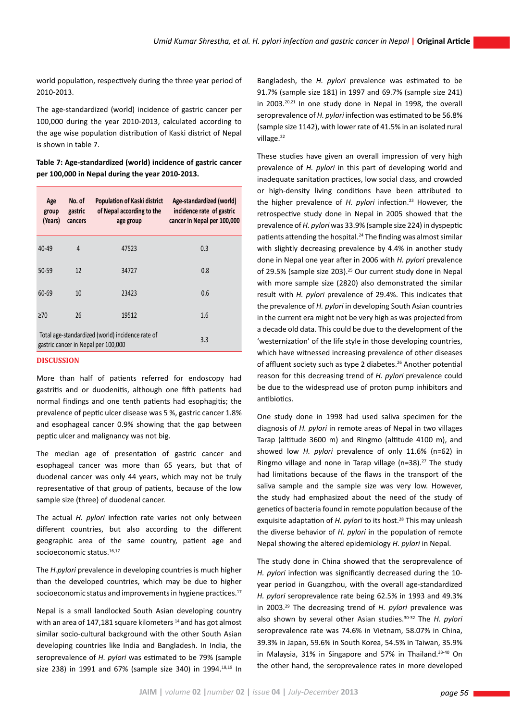world population, respectively during the three year period of 2010-2013.

The age-standardized (world) incidence of gastric cancer per 100,000 during the year 2010-2013, calculated according to the age wise population distribution of Kaski district of Nepal is shown in table 7.

**Table 7: Age-standardized (world) incidence of gastric cancer per 100,000 in Nepal during the year 2010-2013.**

|                                                                                                | Age<br>group<br>(Years) | No. of<br>gastric<br>cancers | Population of Kaski district<br>of Nepal according to the<br>age group | Age-standardized (world)<br>incidence rate of gastric<br>cancer in Nepal per 100,000 |  |  |
|------------------------------------------------------------------------------------------------|-------------------------|------------------------------|------------------------------------------------------------------------|--------------------------------------------------------------------------------------|--|--|
|                                                                                                | $40 - 49$               | 4                            | 47523                                                                  | 0.3                                                                                  |  |  |
|                                                                                                | $50 - 59$               | 12                           | 34727                                                                  | 0.8                                                                                  |  |  |
|                                                                                                | 60-69                   | 10                           | 23423                                                                  | 0.6                                                                                  |  |  |
|                                                                                                | $\geq 70$               | 26                           | 19512                                                                  | 1.6                                                                                  |  |  |
| Total age-standardized (world) incidence rate of<br>3.3<br>gastric cancer in Nepal per 100,000 |                         |                              |                                                                        |                                                                                      |  |  |

## **DISCUSSION**

More than half of patients referred for endoscopy had gastritis and or duodenitis, although one fifth patients had normal findings and one tenth patients had esophagitis; the prevalence of peptic ulcer disease was 5 %, gastric cancer 1.8% and esophageal cancer 0.9% showing that the gap between peptic ulcer and malignancy was not big.

The median age of presentation of gastric cancer and esophageal cancer was more than 65 years, but that of duodenal cancer was only 44 years, which may not be truly representative of that group of patients, because of the low sample size (three) of duodenal cancer.

The actual *H. pylori* infection rate varies not only between different countries, but also according to the different geographic area of the same country, patient age and socioeconomic status.<sup>16,17</sup>

The *H.pylori* prevalence in developing countries is much higher than the developed countries, which may be due to higher socioeconomic status and improvements in hygiene practices.<sup>17</sup>

Nepal is a small landlocked South Asian developing country with an area of 147,181 square kilometers<sup>14</sup> and has got almost similar socio-cultural background with the other South Asian developing countries like India and Bangladesh. In India, the seroprevalence of *H. pylori* was estimated to be 79% (sample size 238) in 1991 and 67% (sample size 340) in 1994.<sup>18,19</sup> In Bangladesh, the *H. pylori* prevalence was estimated to be 91.7% (sample size 181) in 1997 and 69.7% (sample size 241) in 2003.<sup>20,21</sup> In one study done in Nepal in 1998, the overall seroprevalence of *H. pylori* infection was estimated to be 56.8% (sample size 1142), with lower rate of 41.5% in an isolated rural village.<sup>22</sup>

These studies have given an overall impression of very high prevalence of *H. pylori* in this part of developing world and inadequate sanitation practices, low social class, and crowded or high-density living conditions have been attributed to the higher prevalence of *H. pylori* infection.23 However, the retrospective study done in Nepal in 2005 showed that the prevalence of *H. pylori* was 33.9% (sample size 224) in dyspeptic patients attending the hospital.24 The finding was almost similar with slightly decreasing prevalence by 4.4% in another study done in Nepal one year after in 2006 with *H. pylori* prevalence of 29.5% (sample size 203).25 Our current study done in Nepal with more sample size (2820) also demonstrated the similar result with *H. pylori* prevalence of 29.4%. This indicates that the prevalence of *H. pylori* in developing South Asian countries in the current era might not be very high as was projected from a decade old data. This could be due to the development of the 'westernization' of the life style in those developing countries, which have witnessed increasing prevalence of other diseases of affluent society such as type 2 diabetes.<sup>26</sup> Another potential reason for this decreasing trend of *H. pylori* prevalence could be due to the widespread use of proton pump inhibitors and antibiotics.

One study done in 1998 had used saliva specimen for the diagnosis of *H. pylori* in remote areas of Nepal in two villages Tarap (altitude 3600 m) and Ringmo (altitude 4100 m), and showed low *H. pylori* prevalence of only 11.6% (n=62) in Ringmo village and none in Tarap village (n=38).27 The study had limitations because of the flaws in the transport of the saliva sample and the sample size was very low. However, the study had emphasized about the need of the study of genetics of bacteria found in remote population because of the exquisite adaptation of *H. pylori* to its host.<sup>28</sup> This may unleash the diverse behavior of *H. pylori* in the population of remote Nepal showing the altered epidemiology *H. pylori* in Nepal.

The study done in China showed that the seroprevalence of *H. pylori* infection was significantly decreased during the 10 year period in Guangzhou, with the overall age-standardized *H. pylori* seroprevalence rate being 62.5% in 1993 and 49.3% in 2003.29 The decreasing trend of *H. pylori* prevalence was also shown by several other Asian studies.30-32 The *H. pylori*  seroprevalence rate was 74.6% in Vietnam, 58.07% in China, 39.3% in Japan, 59.6% in South Korea, 54.5% in Taiwan, 35.9% in Malaysia, 31% in Singapore and 57% in Thailand.<sup>33-40</sup> On the other hand, the seroprevalence rates in more developed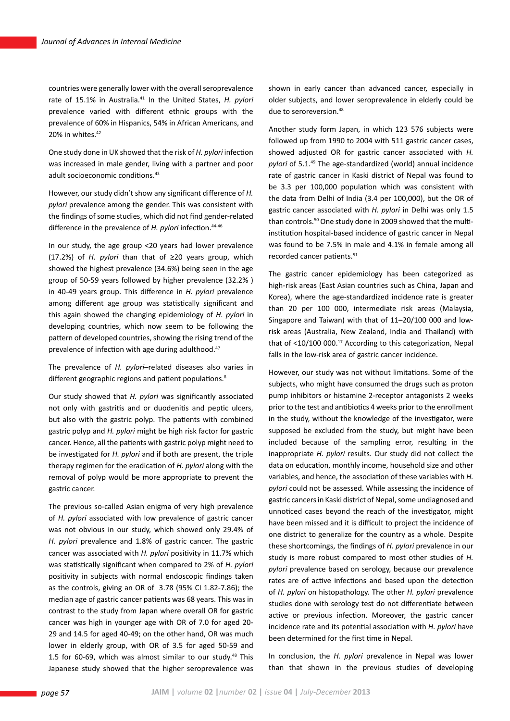countries were generally lower with the overall seroprevalence rate of 15.1% in Australia.<sup>41</sup> In the United States, *H. pylori* prevalence varied with different ethnic groups with the prevalence of 60% in Hispanics, 54% in African Americans, and 20% in whites.<sup>42</sup>

One study done in UK showed that the risk of *H. pylori* infection was increased in male gender, living with a partner and poor adult socioeconomic conditions.43

However, our study didn't show any significant difference of *H. pylori* prevalence among the gender. This was consistent with the findings of some studies, which did not find gender-related difference in the prevalence of *H. pylori* infection.<sup>44-46</sup>

In our study, the age group <20 years had lower prevalence (17.2%) of *H. pylori* than that of ≥20 years group, which showed the highest prevalence (34.6%) being seen in the age group of 50-59 years followed by higher prevalence (32.2% ) in 40-49 years group. This difference in *H. pylori* prevalence among different age group was statistically significant and this again showed the changing epidemiology of *H. pylori* in developing countries, which now seem to be following the pattern of developed countries, showing the rising trend of the prevalence of infection with age during adulthood.<sup>47</sup>

The prevalence of *H. pylori*–related diseases also varies in different geographic regions and patient populations.<sup>8</sup>

Our study showed that *H. pylori* was significantly associated not only with gastritis and or duodenitis and peptic ulcers, but also with the gastric polyp. The patients with combined gastric polyp and *H. pylori* might be high risk factor for gastric cancer. Hence, all the patients with gastric polyp might need to be investigated for *H. pylori* and if both are present, the triple therapy regimen for the eradication of *H. pylori* along with the removal of polyp would be more appropriate to prevent the gastric cancer.

The previous so-called Asian enigma of very high prevalence of *H. pylori* associated with low prevalence of gastric cancer was not obvious in our study, which showed only 29.4% of *H. pylori* prevalence and 1.8% of gastric cancer. The gastric cancer was associated with *H. pylori* positivity in 11.7% which was statistically significant when compared to 2% of *H. pylori* positivity in subjects with normal endoscopic findings taken as the controls, giving an OR of 3.78 (95% CI 1.82-7.86); the median age of gastric cancer patients was 68 years. This was in contrast to the study from Japan where overall OR for gastric cancer was high in younger age with OR of 7.0 for aged 20- 29 and 14.5 for aged 40-49; on the other hand, OR was much lower in elderly group, with OR of 3.5 for aged 50-59 and 1.5 for 60-69, which was almost similar to our study.<sup>48</sup> This Japanese study showed that the higher seroprevalence was shown in early cancer than advanced cancer, especially in older subjects, and lower seroprevalence in elderly could be due to seroreversion.<sup>48</sup>

Another study form Japan, in which 123 576 subjects were followed up from 1990 to 2004 with 511 gastric cancer cases, showed adjusted OR for gastric cancer associated with *H. pylori* of 5.1.49 The age-standardized (world) annual incidence rate of gastric cancer in Kaski district of Nepal was found to be 3.3 per 100,000 population which was consistent with the data from Delhi of India (3.4 per 100,000), but the OR of gastric cancer associated with *H. pylori* in Delhi was only 1.5 than controls.<sup>50</sup> One study done in 2009 showed that the multiinstitution hospital-based incidence of gastric cancer in Nepal was found to be 7.5% in male and 4.1% in female among all recorded cancer patients.<sup>51</sup>

The gastric cancer epidemiology has been categorized as high-risk areas (East Asian countries such as China, Japan and Korea), where the age-standardized incidence rate is greater than 20 per 100 000, intermediate risk areas (Malaysia, Singapore and Taiwan) with that of 11–20/100 000 and lowrisk areas (Australia, New Zealand, India and Thailand) with that of <10/100 000.<sup>17</sup> According to this categorization, Nepal falls in the low-risk area of gastric cancer incidence.

However, our study was not without limitations. Some of the subjects, who might have consumed the drugs such as proton pump inhibitors or histamine 2-receptor antagonists 2 weeks prior to the test and antibiotics 4 weeks prior to the enrollment in the study, without the knowledge of the investigator, were supposed be excluded from the study, but might have been included because of the sampling error, resulting in the inappropriate *H. pylori* results. Our study did not collect the data on education, monthly income, household size and other variables, and hence, the association of these variables with *H. pylori* could not be assessed. While assessing the incidence of gastric cancers in Kaski district of Nepal, some undiagnosed and unnoticed cases beyond the reach of the investigator, might have been missed and it is difficult to project the incidence of one district to generalize for the country as a whole. Despite these shortcomings, the findings of *H. pylori* prevalence in our study is more robust compared to most other studies of *H. pylori* prevalence based on serology, because our prevalence rates are of active infections and based upon the detection of *H. pylori* on histopathology. The other *H. pylori* prevalence studies done with serology test do not differentiate between active or previous infection. Moreover, the gastric cancer incidence rate and its potential association with *H. pylori* have been determined for the first time in Nepal.

In conclusion, the *H. pylori* prevalence in Nepal was lower than that shown in the previous studies of developing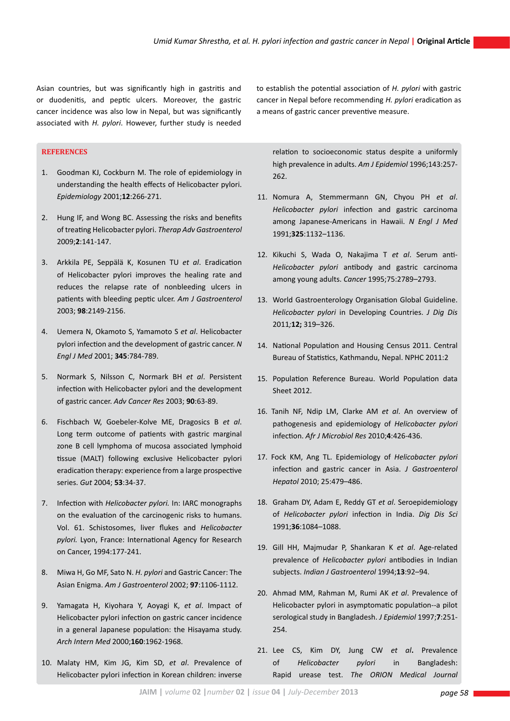Asian countries, but was significantly high in gastritis and or duodenitis, and peptic ulcers. Moreover, the gastric cancer incidence was also low in Nepal, but was significantly associated with *H. pylori*. However, further study is needed

# **References**

- 1. Goodman KJ, Cockburn M. The role of epidemiology in understanding the health effects of Helicobacter pylori. *Epidemiology* 2001;**12**:266-271.
- 2. Hung IF, and Wong BC. Assessing the risks and benefits of treating Helicobacter pylori. *Therap Adv Gastroenterol* 2009;**2**:141-147.
- 3. Arkkila PE, Seppälä K, Kosunen TU *et al*. Eradication of Helicobacter pylori improves the healing rate and reduces the relapse rate of nonbleeding ulcers in patients with bleeding peptic ulcer. *Am J Gastroenterol* 2003; **98**:2149-2156.
- 4. Uemera N, Okamoto S, Yamamoto S *et al*. Helicobacter pylori infection and the development of gastric cancer. *N Engl J Med* 2001; **345**:784-789.
- 5. Normark S, Nilsson C, Normark BH *et al*. Persistent infection with Helicobacter pylori and the development of gastric cancer. *Adv Cancer Res* 2003; **90**:63-89.
- 6. Fischbach W, Goebeler-Kolve ME, Dragosics B *et al*. Long term outcome of patients with gastric marginal zone B cell lymphoma of mucosa associated lymphoid tissue (MALT) following exclusive Helicobacter pylori eradication therapy: experience from a large prospective series. *Gut* 2004; **53**:34-37.
- 7. Infection with *Helicobacter pylori.* In: IARC monographs on the evaluation of the carcinogenic risks to humans. Vol. 61. Schistosomes, liver flukes and *Helicobacter pylori.* Lyon, France: International Agency for Research on Cancer, 1994:177-241.
- 8. Miwa H, Go MF, Sato N. *H. pylori* and Gastric Cancer: The Asian Enigma. *Am J Gastroenterol* 2002; **97**:1106-1112.
- 9. Yamagata H, Kiyohara Y, Aoyagi K, *et al*. Impact of Helicobacter pylori infection on gastric cancer incidence in a general Japanese population: the Hisayama study. *Arch Intern Med* 2000;**160**:1962-1968.
- 10. Malaty HM, Kim JG, Kim SD, *et al*. Prevalence of Helicobacter pylori infection in Korean children: inverse

to establish the potential association of *H. pylori* with gastric cancer in Nepal before recommending *H. pylori* eradication as a means of gastric cancer preventive measure.

relation to socioeconomic status despite a uniformly high prevalence in adults. *Am J Epidemiol* 1996;143:257- 262.

- 11. Nomura A, Stemmermann GN, Chyou PH *et al*. *Helicobacter pylori* infection and gastric carcinoma among Japanese-Americans in Hawaii. *N Engl J Med* 1991;**325**:1132–1136.
- 12. Kikuchi S, Wada O, Nakajima T *et al*. Serum anti-*Helicobacter pylori* antibody and gastric carcinoma among young adults. *Cancer* 1995;75:2789–2793.
- 13. World Gastroenterology Organisation Global Guideline. *Helicobacter pylori* in Developing Countries. *J Dig Dis*  2011*;***12;** 319–326.
- 14. National Population and Housing Census 2011. Central Bureau of Statistics, Kathmandu, Nepal. NPHC 2011:2
- 15. Population Reference Bureau. World Population data Sheet 2012.
- 16. Tanih NF, Ndip LM, Clarke AM *et al*. An overview of pathogenesis and epidemiology of *Helicobacter pylori*  infection. *Afr J Microbiol Res* 2010;**4**:426-436.
- 17. Fock KM, Ang TL. Epidemiology of *Helicobacter pylori*  infection and gastric cancer in Asia. *J Gastroenterol Hepatol* 2010; 25:479–486.
- 18. Graham DY, Adam E, Reddy GT *et al*. Seroepidemiology of *Helicobacter pylori* infection in India. *Dig Dis Sci* 1991;**36**:1084–1088.
- 19. Gill HH, Majmudar P, Shankaran K *et al*. Age-related prevalence of *Helicobacter pylori* antibodies in Indian subjects. *Indian J Gastroenterol* 1994;**13**:92–94.
- 20. Ahmad MM, Rahman M, Rumi AK *et al*. Prevalence of Helicobacter pylori in asymptomatic population--a pilot serological study in Bangladesh. *J Epidemiol* 1997;**7**:251- 254.
- 21. Lee CS, Kim DY, Jung CW *et al***.** Prevalence of *Helicobacter pylori* in Bangladesh: Rapid urease test. *The ORION Medical Journal*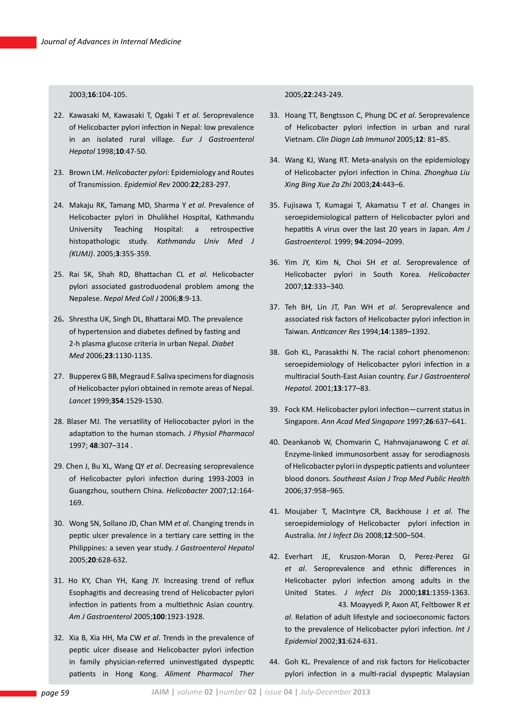2003;**16**:104-105.

- 22. Kawasaki M, Kawasaki T, Ogaki T *et al*. Seroprevalence of Helicobacter pylori infection in Nepal: low prevalence in an isolated rural village. *Eur J Gastroenterol Hepatol* 1998;**10**:47-50.
- 23. Brown LM. *Helicobacter pylori:* Epidemiology and Routes of Transmission. *Epidemiol Rev* 2000:**22**;283-297.
- 24. Makaju RK, Tamang MD, Sharma Y *et al*. Prevalence of Helicobacter pylori in Dhulikhel Hospital, Kathmandu University Teaching Hospital: a retrospective histopathologic study. *Kathmandu Univ Med J (KUMJ)*. 2005;**3**:355-359.
- 25. Rai SK, Shah RD, Bhattachan CL *et al*. Helicobacter pylori associated gastroduodenal problem among the Nepalese. *Nepal Med Coll J* 2006;**8**:9-13.
- 26**.** Shrestha UK, Singh DL, Bhattarai MD. The prevalence of hypertension and diabetes defined by fasting and 2-h plasma glucose criteria in urban Nepal. *Diabet Med* 2006;**23**:1130-1135.
- 27. Bupperex G BB, Megraud F. Saliva specimens for diagnosis of Helicobacter pylori obtained in remote areas of Nepal. *Lancet* 1999;**354**:1529-1530.
- 28. Blaser MJ. The versatility of Heliocobacter pylori in the adaptation to the human stomach*. J Physiol Pharmacol* 1997; **48**:307–314 .
- 29. Chen J, Bu XL, Wang QY *et al*. Decreasing seroprevalence of Helicobacter pylori infection during 1993-2003 in Guangzhou, southern China. *Helicobacter* 2007;12:164- 169.
- 30. Wong SN, Sollano JD, Chan MM *et al*. Changing trends in peptic ulcer prevalence in a tertiary care setting in the Philippines: a seven year study. *J Gastroenterol Hepatol* 2005;**20**:628-632.
- 31. Ho KY, Chan YH, Kang JY. Increasing trend of reflux Esophagitis and decreasing trend of Helicobacter pylori infection in patients from a multiethnic Asian country. *Am J Gastroenterol* 2005;**100**:1923-1928.
- 32. Xia B, Xia HH, Ma CW *et al*. Trends in the prevalence of peptic ulcer disease and Helicobacter pylori infection in family physician-referred uninvestigated dyspeptic patients in Hong Kong. *Aliment Pharmacol Ther*

### 2005;**22**:243-249.

- 33. Hoang TT, Bengtsson C, Phung DC *et al*. Seroprevalence of Helicobacter pylori infection in urban and rural Vietnam. *Clin Diagn Lab Immunol* 2005;**12**: 81–85.
- 34. Wang KJ, Wang RT. Meta-analysis on the epidemiology of Helicobacter pylori infection in China. *Zhonghua Liu Xing Bing Xue Za Zhi* 2003;**24**:443–6.
- 35. Fujisawa T, Kumagai T, Akamatsu T *et al*. Changes in seroepidemiological pattern of Helicobacter pylori and hepatitis A virus over the last 20 years in Japan. *Am J Gastroenterol.* 1999; **94**:2094–2099.
- 36. Yim JY, Kim N, Choi SH *et al*. Seroprevalence of Helicobacter pylori in South Korea. *Helicobacter*  2007;**12**:333–340.
- 37. Teh BH, Lin JT, Pan WH *et al*. Seroprevalence and associated risk factors of Helicobacter pylori infection in Taiwan. *Anticancer Res* 1994;**14**:1389–1392.
- 38. Goh KL, Parasakthi N. The racial cohort phenomenon: seroepidemiology of Helicobacter pylori infection in a multiracial South-East Asian country. *Eur J Gastroenterol Hepatol.* 2001;**13**:177–83.
- 39. Fock KM. Helicobacter pylori infection—current status in Singapore. *Ann Acad Med Singapore* 1997;**26**:637–641.
- 40. Deankanob W, Chomvarin C, Hahnvajanawong C *et al.*  Enzyme-linked immunosorbent assay for serodiagnosis of Helicobacter pylori in dyspeptic patients and volunteer blood donors. *Southeast Asian J Trop Med Public Health*  2006;37:958–965.
- 41. Moujaber T, MacIntyre CR, Backhouse J *et al*. The seroepidemiology of Helicobacter pylori infection in Australia. *Int J Infect Dis* 2008;**12**:500–504.
- 42. Everhart JE, Kruszon-Moran D, Perez-Perez GI *et al*. Seroprevalence and ethnic differences in Helicobacter pylori infection among adults in the United States. *J Infect Dis* 2000;**181**:1359-1363. 43. Moayyedi P, Axon AT, Feltbower R *et al*. Relation of adult lifestyle and socioeconomic factors
	- to the prevalence of Helicobacter pylori infection. *Int J Epidemiol* 2002;**31**:624-631.
- 44. Goh KL. Prevalence of and risk factors for Helicobacter pylori infection in a multi-racial dyspeptic Malaysian